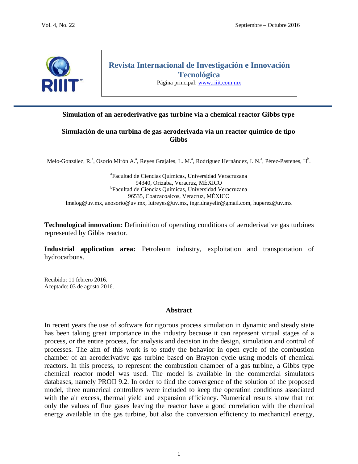

# **Revista Internacional de Investigación e Innovación Tecnológica**

Página principal: [www.riiit.com.mx](http://www.riiit.com.mx/)

# **Simulation of an aeroderivative gas turbine via a chemical reactor Gibbs type**

# **Simulación de una turbina de gas aeroderivada vía un reactor químico de tipo Gibbs**

Melo-González, R.ª, Osorio Mirón A.ª, Reyes Grajales, L. M.ª, Rodríguez Hernández, I. N.ª, Pérez-Pastenes, H<sup>b</sup>.

a Facultad de Ciencias Químicas, Universidad Veracruzana 94340, Orizaba, Veracruz, MÉXICO <sup>b</sup>Facultad de Ciencias Químicas, Universidad Veracruzana 96535, Coatzacoalcos, Veracruz, MÉXICO [lmelog@uv.mx,](mailto:lmelog@uv.mx) [anosorio@uv.mx,](mailto:anosorio@uv.mx) [luireyes@uv.mx,](mailto:luireyes@uv.mx) [ingridnayelir@gmail.com,](mailto:ingridnayelir@gmail.com) [huperez@uv.mx](mailto:huperez@uv.mx)

**Technological innovation:** Defininition of operating conditions of aeroderivative gas turbines represented by Gibbs reactor.

**Industrial application area:** Petroleum industry, exploitation and transportation of hydrocarbons.

Recibido: 11 febrero 2016. Aceptado: 03 de agosto 2016.

#### **Abstract**

In recent years the use of software for rigorous process simulation in dynamic and steady state has been taking great importance in the industry because it can represent virtual stages of a process, or the entire process, for analysis and decision in the design, simulation and control of processes. The aim of this work is to study the behavior in open cycle of the combustion chamber of an aeroderivative gas turbine based on Brayton cycle using models of chemical reactors. In this process, to represent the combustion chamber of a gas turbine, a Gibbs type chemical reactor model was used. The model is available in the commercial simulators databases, namely PROII 9.2. In order to find the convergence of the solution of the proposed model, three numerical controllers were included to keep the operation conditions associated with the air excess, thermal yield and expansion efficiency. Numerical results show that not only the values of flue gases leaving the reactor have a good correlation with the chemical energy available in the gas turbine, but also the conversion efficiency to mechanical energy,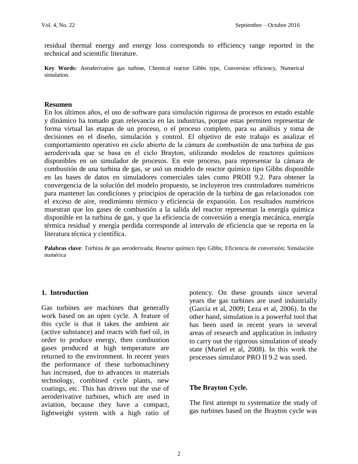residual thermal energy and energy loss corresponds to efficiency range reported in the technical and scientific literature.

**Key Words:** Aeroderivative gas turbine, Chemical reactor Gibbs type, Conversion efficiency, Numerical simulation.

#### **Resumen**

En los últimos años, el uso de software para simulación rigurosa de procesos en estado estable y dinámico ha tomado gran relevancia en las industrias, porque estas permiten representar de forma virtual las etapas de un proceso, o el proceso completo, para su análisis y toma de decisiones en el diseño, simulación y control. El objetivo de este trabajo es analizar el comportamiento operativo en ciclo abierto de la cámara de combustión de una turbina de gas aeroderivada que se basa en el ciclo Brayton, utilizando modelos de reactores químicos disponibles en un simulador de procesos. En este proceso, para representar la cámara de combustión de una turbina de gas, se usó un modelo de reactor químico tipo Gibbs disponible en las bases de datos en simuladores comerciales tales como PROII 9.2. Para obtener la convergencia de la solución del modelo propuesto, se incluyeron tres controladores numéricos para mantener las condiciones y principios de operación de la turbina de gas relacionados con el exceso de aire, rendimiento térmico y eficiencia de expansión. Los resultados numéricos muestran que los gases de combustión a la salida del reactor representan la energía química disponible en la turbina de gas, y que la eficiencia de conversión a energía mecánica, energía térmica residual y energía perdida corresponde al intervalo de eficiencia que se reporta en la literatura técnica y científica.

**Palabras clave**: Turbina de gas aeroderivada; Reactor químico tipo Gibbs; Eficiencia de conversión; Simulación numérica

## **1. Introduction**

Gas turbines are machines that generally work based on an open cycle. A feature of this cycle is that it takes the ambient air (active substance) and reacts with fuel oil, in order to produce energy, then combustion gases produced at high temperature are returned to the environment. In recent years the performance of these turbomachinery has increased, due to advances in materials technology, combined cycle plants, new coatings, etc. This has driven out the use of aeroderivative turbines, which are used in aviation, because they have a compact, lightweight system with a high ratio of

potency. On these grounds since several years the gas turbines are used industrially (García et al, 2009; Leza et al, 2006). In the other hand, simulation is a powerful tool that has been used in recent years in several areas of research and application in industry to carry out the rigorous simulation of steady state (Muriel et al, 2008). In this work the processes simulator PRO II 9.2 was used.

## **The Brayton Cycle.**

The first attempt to systematize the study of gas turbines based on the Brayton cycle was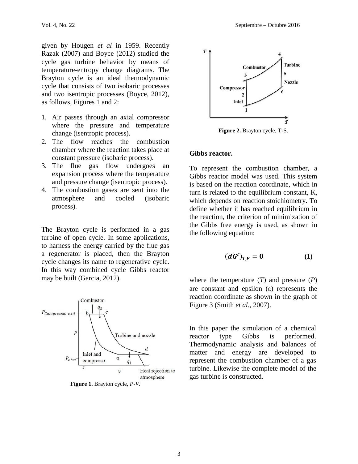given by Hougen *et al* in 1959. Recently Razak (2007) and Boyce (2012) studied the cycle gas turbine behavior by means of temperature-entropy change diagrams. The Brayton cycle is an ideal thermodynamic cycle that consists of two isobaric processes and two isentropic processes (Boyce, 2012), as follows, Figures 1 and 2:

- 1. Air passes through an axial compressor where the pressure and temperature change (isentropic process).
- 2. The flow reaches the combustion chamber where the reaction takes place at constant pressure (isobaric process).
- 3. The flue gas flow undergoes an expansion process where the temperature and pressure change (isentropic process).
- 4. The combustion gases are sent into the atmosphere and cooled (isobaric process).

The Brayton cycle is performed in a gas turbine of open cycle. In some applications, to harness the energy carried by the flue gas a regenerator is placed, then the Brayton cycle changes its name to regenerative cycle. In this way combined cycle Gibbs reactor may be built (Garcia, 2012).



**Figure 1.** Brayton cycle, *P*-*V*.



**Figure 2.** Brayton cycle, T-S.

#### **Gibbs reactor.**

To represent the combustion chamber, a Gibbs reactor model was used. This system is based on the reaction coordinate, which in turn is related to the equilibrium constant, K, which depends on reaction stoichiometry. To define whether it has reached equilibrium in the reaction, the criterion of minimization of the Gibbs free energy is used, as shown in the following equation:

$$
(dG^t)_{T,P}=0 \qquad \qquad (1)
$$

where the temperature (*T*) and pressure (*P*) are constant and epsilon  $(\varepsilon)$  represents the reaction coordinate as shown in the graph of Figure 3 (Smith *et al.*, 2007).

In this paper the simulation of a chemical reactor type Gibbs is performed. Thermodynamic analysis and balances of matter and energy are developed to represent the combustion chamber of a gas turbine. Likewise the complete model of the gas turbine is constructed.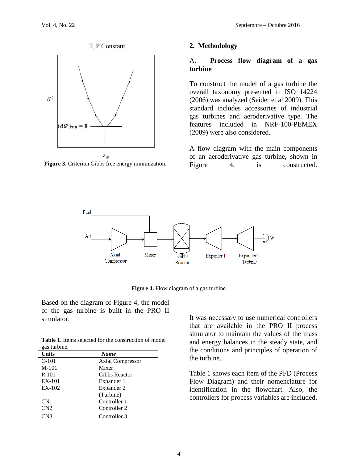

**Figure 3.** Criterion Gibbs free energy minimization.

#### **2. Methodology**

#### A. **Process flow diagram of a gas turbine**

To construct the model of a gas turbine the overall taxonomy presented in ISO 14224 (2006) was analyzed (Seider et al 2009). This standard includes accessories of industrial gas turbines and aeroderivative type. The features included in NRF-100-PEMEX (2009) were also considered.

A flow diagram with the main components of an aeroderivative gas turbine, shown in Figure 4, is constructed.



**Figure 4.** Flow diagram of a gas turbine.

Based on the diagram of Figure 4, the model of the gas turbine is built in the PRO II simulator.

**Table 1.** Items selected for the construction of model gas turbine.

| <b>Units</b>    | <b>Name</b>             |
|-----------------|-------------------------|
| $C-101$         | <b>Axial Compressor</b> |
| M-101           | Mixer                   |
| R.101           | Gibbs Reactor           |
| EX-101          | Expander 1              |
| EX-102          | Expander 2              |
|                 | (Turbine)               |
| CN1             | Controller 1            |
| CN2             | Controller 2            |
| CN <sub>3</sub> | Controller 3            |

It was necessary to use numerical controllers that are available in the PRO II process simulator to maintain the values of the mass and energy balances in the steady state, and the conditions and principles of operation of the turbine.

Table 1 shows each item of the PFD (Process Flow Diagram) and their nomenclature for identification in the flowchart. Also, the controllers for process variables are included.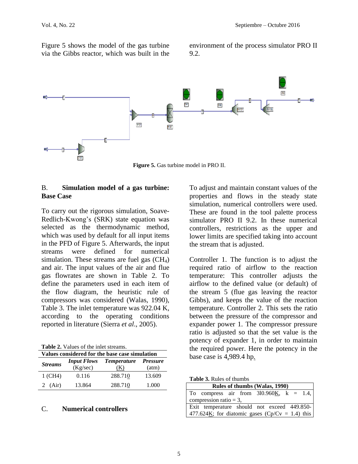Figure 5 shows the model of the gas turbine via the Gibbs reactor, which was built in the environment of the process simulator PRO II 9.2.



**Figure 5.** Gas turbine model in PRO II.

# B. **Simulation model of a gas turbine: Base Case**

To carry out the rigorous simulation, Soave-Redlich-Kwong's (SRK) state equation was selected as the thermodynamic method, which was used by default for all input items in the PFD of Figure 5. Afterwards, the input streams were defined for numerical simulation. These streams are fuel gas  $(CH<sub>4</sub>)$ and air. The input values of the air and flue gas flowrates are shown in Table 2. To define the parameters used in each item of the flow diagram, the heuristic rule of compressors was considered (Walas, 1990), Table 3. The inlet temperature was 922.04 K, according to the operating conditions reported in literature (Sierra *et al*., 2005).

**Table 2.** Values of the inlet streams.

| Values considered for the base case simulation |                    |                    |                 |  |
|------------------------------------------------|--------------------|--------------------|-----------------|--|
| <b>Streams</b>                                 | <b>Input Flows</b> | <i>Temperature</i> | <i>Pressure</i> |  |
|                                                | (Kg/sec)           | (K)                | (atm)           |  |
| 1 (CH4)                                        | 0.116              | 288.710            | 13.609          |  |
| 2 $(Air)$                                      | 13.864             | 288.710            | 1.000           |  |

#### C. **Numerical controllers**

To adjust and maintain constant values of the properties and flows in the steady state simulation, numerical controllers were used. These are found in the tool palette process simulator PRO II 9.2. In these numerical controllers, restrictions as the upper and lower limits are specified taking into account the stream that is adjusted.

Controller 1. The function is to adjust the required ratio of airflow to the reaction temperature: This controller adjusts the airflow to the defined value (or default) of the stream 5 (flue gas leaving the reactor Gibbs), and keeps the value of the reaction temperature. Controller 2. This sets the ratio between the pressure of the compressor and expander power 1. The compressor pressure ratio is adjusted so that the set value is the potency of expander 1, in order to maintain the required power. Here the potency in the base case is 4,989.4 hp.

| <b>Table 3.</b> Rules of thumbs |  |  |
|---------------------------------|--|--|
|---------------------------------|--|--|

| Rules of thumbs (Walas, 1990)                                   |  |  |  |  |
|-----------------------------------------------------------------|--|--|--|--|
| To compress air from $310.960K$ , $k = 1.4$ ,                   |  |  |  |  |
| compression ratio = $3$ ,                                       |  |  |  |  |
| Exit temperature should not exceed 449.850-                     |  |  |  |  |
| 477.624 $\underline{K}$ ; for diatomic gases (Cp/Cv = 1.4) this |  |  |  |  |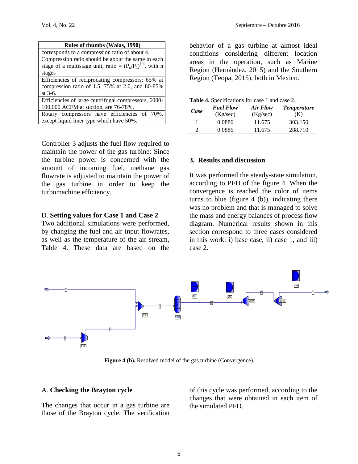| Rules of thumbs (Walas, 1990)                                  |
|----------------------------------------------------------------|
| corresponds to a compression ratio of about 4.                 |
| Compression ratio should be about the same in each             |
| stage of a multistage unit, ratio = $(P_n/P_1)^{1/n}$ , with n |
| stages                                                         |
| Efficiencies of reciprocating compressors: 65% at              |
| compression ratio of 1.5, 75% at 2.0, and 80-85%               |
| at $3-6$ .                                                     |
| Efficiencies of large centrifugal compressors, 6000-           |
| 100,000 ACFM at suction, are 76-78%.                           |
| Rotary compressors have efficiencies of 70%,                   |
| except liquid liner type which have 50%.                       |

Controller 3 adjusts the fuel flow required to maintain the power of the gas turbine: Since the turbine power is concerned with the amount of incoming fuel, methane gas flowrate is adjusted to maintain the power of the gas turbine in order to keep the turbomachine efficiency.

#### D. **Setting values for Case 1 and Case 2**

Two additional simulations were performed, by changing the fuel and air input flowrates, as well as the temperature of the air stream, Table 4. These data are based on the behavior of a gas turbine at almost ideal conditions considering different location areas in the operation, such as Marine Region (Hernández, 2015) and the Southern Region (Teopa, 2015), both in Mexico.

| Table 4. Specifications for case 1 and case 2. |  |
|------------------------------------------------|--|
|                                                |  |

| Case          | <b>Fuel Flow</b><br>Air Flow<br>(Kg/sec)<br>(Kg/sec) |        | <i>Temperature</i><br>(K) |  |
|---------------|------------------------------------------------------|--------|---------------------------|--|
| 1             | 0.0886                                               | 11.675 | 303.150                   |  |
| $\mathcal{D}$ | 0.0886                                               | 11.675 | 288.710                   |  |

## **3. Results and discussion**

It was performed the steady-state simulation, according to PFD of the figure 4. When the convergence is reached the color of items turns to blue (figure  $4$  (b)), indicating there was no problem and that is managed to solve the mass and energy balances of process flow diagram. Numerical results shown in this section correspond to three cases considered in this work: i) base case, ii) case 1, and iii) case 2.



**Figure 4 (b).** Resolved model of the gas turbine (Convergence).

#### A. **Checking the Brayton cycle**

The changes that occur in a gas turbine are those of the Brayton cycle. The verification of this cycle was performed, according to the changes that were obtained in each item of the simulated PFD.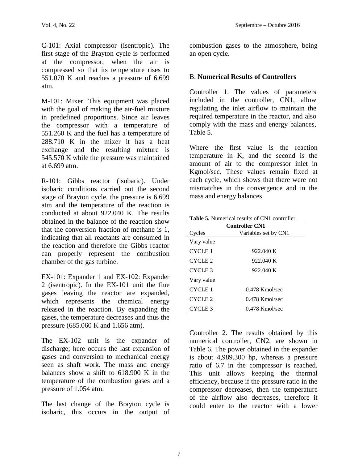C-101: Axial compressor (isentropic). The first stage of the Brayton cycle is performed at the compressor, when the air is compressed so that its temperature rises to 551.070 K and reaches a pressure of 6.699 atm.

M-101: Mixer. This equipment was placed with the goal of making the air-fuel mixture in predefined proportions. Since air leaves the compressor with a temperature of 551.260 K and the fuel has a temperature of 288.710 K in the mixer it has a heat exchange and the resulting mixture is 545.570 K while the pressure was maintained at 6.699 atm.

R-101: Gibbs reactor (isobaric). Under isobaric conditions carried out the second stage of Brayton cycle, the pressure is 6.699 atm and the temperature of the reaction is conducted at about 922.040 K. The results obtained in the balance of the reaction show that the conversion fraction of methane is 1, indicating that all reactants are consumed in the reaction and therefore the Gibbs reactor can properly represent the combustion chamber of the gas turbine.

EX-101: Expander 1 and EX-102: Expander 2 (isentropic). In the EX-101 unit the flue gases leaving the reactor are expanded, which represents the chemical energy released in the reaction. By expanding the gases, the temperature decreases and thus the pressure (685.060 K and 1.656 atm).

The EX-102 unit is the expander of discharge; here occurs the last expansion of gases and conversion to mechanical energy seen as shaft work. The mass and energy balances show a shift to 618.900 K in the temperature of the combustion gases and a pressure of 1.054 atm.

The last change of the Brayton cycle is isobaric, this occurs in the output of combustion gases to the atmosphere, being an open cycle.

# B. **Numerical Results of Controllers**

Controller 1. The values of parameters included in the controller, CN1, allow regulating the inlet airflow to maintain the required temperature in the reactor, and also comply with the mass and energy balances, Table 5.

Where the first value is the reaction temperature in K, and the second is the amount of air to the compressor inlet in Kgmol/sec. These values remain fixed at each cycle, which shows that there were not mismatches in the convergence and in the mass and energy balances.

| <b>Table 5.</b> Numerical results of CN1 controller. |  |
|------------------------------------------------------|--|
|------------------------------------------------------|--|

| <b>Controller CN1</b> |                      |  |  |  |
|-----------------------|----------------------|--|--|--|
| Cycles                | Variables set by CN1 |  |  |  |
| Vary value            |                      |  |  |  |
| CYCLE 1               | 922.040 K            |  |  |  |
| CYCLE <sub>2</sub>    | 922.040 K            |  |  |  |
| CYCLE <sub>3</sub>    | 922.040 K            |  |  |  |
| Vary value            |                      |  |  |  |
| CYCLE 1               | $0.478$ Kmol/sec     |  |  |  |
| CYCLE <sub>2</sub>    | $0.478$ Kmol/sec     |  |  |  |
| CYCLE <sub>3</sub>    | $0.478$ Kmol/sec     |  |  |  |

Controller 2. The results obtained by this numerical controller, CN2, are shown in Table 6. The power obtained in the expander is about 4,989.300 hp, whereas a pressure ratio of 6.7 in the compressor is reached. This unit allows keeping the thermal efficiency, because if the pressure ratio in the compressor decreases, then the temperature of the airflow also decreases, therefore it could enter to the reactor with a lower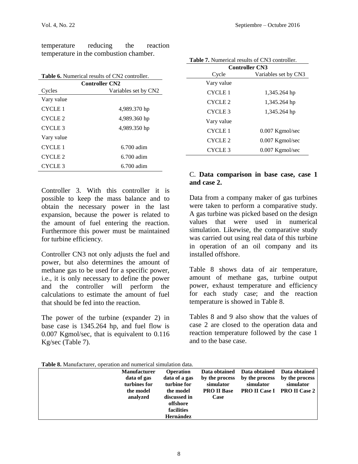temperature reducing the reaction temperature in the combustion chamber.

| <b>Table 6.</b> Numerical results of CN2 controller. |              |  |  |  |
|------------------------------------------------------|--------------|--|--|--|
| <b>Controller CN2</b>                                |              |  |  |  |
| Variables set by CN2<br>Cycles                       |              |  |  |  |
| Vary value                                           |              |  |  |  |
| CYCLE <sub>1</sub>                                   | 4,989.370 hp |  |  |  |
| CYCLE <sub>2</sub>                                   | 4,989.360 hp |  |  |  |
| CYCLE <sub>3</sub>                                   | 4,989.350 hp |  |  |  |
| Vary value                                           |              |  |  |  |
| CYCLE 1                                              | $6.700$ adim |  |  |  |
| CYCLE <sub>2</sub>                                   | $6.700$ adim |  |  |  |
| CYCLE <sub>3</sub>                                   | $6.700$ adim |  |  |  |
|                                                      |              |  |  |  |

Controller 3. With this controller it is possible to keep the mass balance and to obtain the necessary power in the last expansion, because the power is related to the amount of fuel entering the reaction. Furthermore this power must be maintained for turbine efficiency.

Controller CN3 not only adjusts the fuel and power, but also determines the amount of methane gas to be used for a specific power, i.e., it is only necessary to define the power and the controller will perform the calculations to estimate the amount of fuel that should be fed into the reaction.

The power of the turbine (expander 2) in base case is 1345.264 hp, and fuel flow is 0.007 Kgmol/sec, that is equivalent to 0.116 Kg/sec (Table 7).

| <b>Controller CN3</b>              |                   |  |  |  |
|------------------------------------|-------------------|--|--|--|
| Cycle<br>Variables set by CN3      |                   |  |  |  |
| Vary value                         |                   |  |  |  |
| CYCLE <sub>1</sub>                 | 1,345.264 hp      |  |  |  |
| CYCLE <sub>2</sub><br>1,345.264 hp |                   |  |  |  |
| CYCLE <sub>3</sub>                 | 1,345.264 hp      |  |  |  |
| Vary value                         |                   |  |  |  |
| <b>CYCLE 1</b>                     | $0.007$ Kgmol/sec |  |  |  |
| CYCLE <sub>2</sub>                 | $0.007$ Kgmol/sec |  |  |  |
| CYCLE <sub>3</sub>                 | $0.007$ Kgmol/sec |  |  |  |
|                                    |                   |  |  |  |

**Table 7.** Numerical results of CN3 controller.

# C. **Data comparison in base case, case 1 and case 2.**

Data from a company maker of gas turbines were taken to perform a comparative study. A gas turbine was picked based on the design values that were used in numerical simulation. Likewise, the comparative study was carried out using real data of this turbine in operation of an oil company and its installed offshore.

Table 8 shows data of air temperature, amount of methane gas, turbine output power, exhaust temperature and efficiency for each study case; and the reaction temperature is showed in Table 8.

Tables 8 and 9 also show that the values of case 2 are closed to the operation data and reaction temperature followed by the case 1 and to the base case.

**Table 8.** Manufacturer, operation and numerical simulation data.

| <b>Manufacturer</b>                      | <b>Operation</b>                                    | Data obtained                                     | Data obtained               | Data obtained                                                     |
|------------------------------------------|-----------------------------------------------------|---------------------------------------------------|-----------------------------|-------------------------------------------------------------------|
| data of gas<br>turbines for<br>the model | data of a gas<br>turbine for<br>the model           | by the process<br>simulator<br><b>PRO II Base</b> | by the process<br>simulator | by the process<br>simulator<br><b>PRO II Case I PRO II Case 2</b> |
| analyzed                                 | discussed in<br>offshore<br>facilities<br>Hernández | Case                                              |                             |                                                                   |
|                                          |                                                     |                                                   |                             |                                                                   |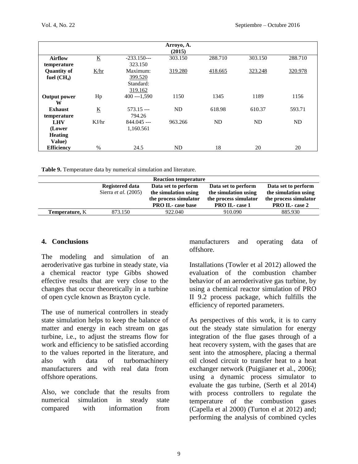|                     |                          |               | Arroyo, A.<br>(2015) |         |         |           |
|---------------------|--------------------------|---------------|----------------------|---------|---------|-----------|
| <b>Airflow</b>      | $\underline{\mathbf{K}}$ | $-233.150--$  | 303.150              | 288.710 | 303.150 | 288.710   |
| temperature         |                          | 323.150       |                      |         |         |           |
| <b>Quantity of</b>  | K/hr                     | Maximum:      | 319.280              | 418.665 | 323.248 | 320.978   |
| fuel $(CH_4)$       |                          | 399.520       |                      |         |         |           |
|                     |                          | Standard:     |                      |         |         |           |
|                     |                          | 319.162       |                      |         |         |           |
| <b>Output power</b> | Hp                       | $400 - 1,590$ | 1150                 | 1345    | 1189    | 1156      |
| W                   |                          |               |                      |         |         |           |
| <b>Exhaust</b>      | $\underline{\mathbf{K}}$ | $573.15 --$   | ND                   | 618.98  | 610.37  | 593.71    |
| temperature         |                          | 794.26        |                      |         |         |           |
| <b>LHV</b>          | KJ/hr                    | $844.045$ --- | 963.266              | ND      | ND      | <b>ND</b> |
| (Lower              |                          | 1,160.561     |                      |         |         |           |
| <b>Heating</b>      |                          |               |                      |         |         |           |
| Value)              |                          |               |                      |         |         |           |
| <b>Efficiency</b>   | $\%$                     | 24.5          | ND                   | 18      | 20      | 20        |

**Table 9.** Temperature data by numerical simulation and literature.

| <b>Reaction temperature</b> |                        |                                              |                       |                        |  |  |  |  |
|-----------------------------|------------------------|----------------------------------------------|-----------------------|------------------------|--|--|--|--|
|                             | <b>Registered data</b> | Data set to perform                          | Data set to perform   | Data set to perform    |  |  |  |  |
| Sierra <i>et al.</i> (2005) |                        | the simulation using<br>the simulation using |                       | the simulation using   |  |  |  |  |
|                             |                        | the process simulator                        | the process simulator | the process simulator  |  |  |  |  |
|                             |                        | <b>PRO II.</b> case base                     | <b>PRO II.</b> case 1 | <b>PRO II.- case 2</b> |  |  |  |  |
| <b>Temperature, K</b>       | 873.150                | 922.040                                      | 910.090               | 885.930                |  |  |  |  |

#### **4. Conclusions**

The modeling and simulation of an aeroderivative gas turbine in steady state, via a chemical reactor type Gibbs showed effective results that are very close to the changes that occur theoretically in a turbine of open cycle known as Brayton cycle.

The use of numerical controllers in steady state simulation helps to keep the balance of matter and energy in each stream on gas turbine, i.e., to adjust the streams flow for work and efficiency to be satisfied according to the values reported in the literature, and also with data of turbomachinery manufacturers and with real data from offshore operations.

Also, we conclude that the results from numerical simulation in steady state compared with information from manufacturers and operating data of offshore.

Installations (Towler et al 2012) allowed the evaluation of the combustion chamber behavior of an aeroderivative gas turbine, by using a chemical reactor simulation of PRO II 9.2 process package, which fulfills the efficiency of reported parameters.

As perspectives of this work, it is to carry out the steady state simulation for energy integration of the flue gases through of a heat recovery system, with the gases that are sent into the atmosphere, placing a thermal oil closed circuit to transfer heat to a heat exchanger network (Puigjianer et al., 2006); using a dynamic process simulator to evaluate the gas turbine, (Serth et al 2014) with process controllers to regulate the temperature of the combustion gases (Capella et al 2000) (Turton el at 2012) and; performing the analysis of combined cycles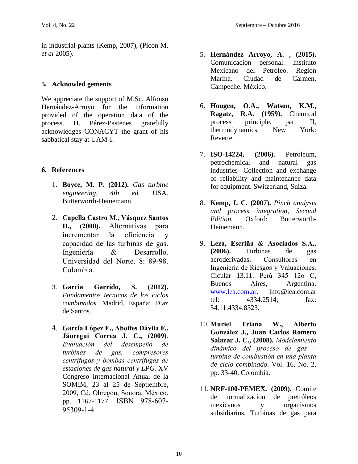in industrial plants (Kemp, 2007), (Picon M. *et al* 2005).

# **5. Acknowled gements**

We appreciate the support of M.Sc. Alfonso Hernández-Arroyo for the information provided of the operation data of the process. H. Pérez-Pastenes gratefully acknowledges CONACYT the grant of his sabbatical stay at UAM-I.

# **6. References**

- 1. **Boyce, M. P. (2012).** *Gas turbine engineering, 4th ed.* USA. Butterworth-Heinemann.
- 2. **Capella Castro M., Vásquez Santos D., (2000).** Alternativas para incrementar la eficiencia y capacidad de las turbinas de gas. Ingeniería & Desarrollo. Universidad del Norte. 8: 89-98. Colombia.
- 3. **Garcia Garrido, S. (2012).** *Fundamentos tecnicos de los ciclos combinados.* Madrid, España: Diaz de Santos.
- 4. García López E., Aboites Dávila F., Jáuregui Correa J. C., (2009). *Evaluación del* desempeño de *turbinas* de gas, compresores centrifugos y bombas centrifugas de *estaciones de gas natural y LPG.* XV Congreso Internacional Anual de la SOMIM, 23 al 25 de Septiembre, 2009, Cd. Obregón, Sonora, México. pp. 1167-1177. ISBN 978-607- 95309-1-4.
- 5. **Hernández Arroyo, A. , (2015).** Comunicación personal. Instituto Mexicano del Petróleo. Región Marina. Ciudad de Carmen, Campeche. México.
- 6. **Hougen, O.A., Watson, K.M., Ragatz, R.A. (1959).** Chemical process principle, part II, thermodynamics. New York: Reverte.
- 7. **ISO-14224, (2006).** Petroleum, petrochemical and natural gas industries- Collection and exchange of reliability and maintenance data for equipment. Switzerland, Suiza.
- 8. **Kemp, I. C. (2007).** *Pinch analysis and process integration, Second Edition.* Oxford: Butterworth-Heinemann.
- 9. Leza, Escriña & Asociados S.A., **(2006).** Turbinas de gas aeroderivadas. en Ingeniería de Riesgos y Valuaciones. Cicular 13.11. Perú 345 12o C, Buenos Aires, Argentina. [www.lea.com.ar.](http://www.lea.com.ar/) info@lea.com.ar tel: 4334.2514; fax: 54.11.4334.8323.
- 10. **Muriel W.** Triana **Alberto J., Juan Carlos Romero Salazar J. C., (2008).** dinámico del proceso de gas – turbina de combustión en una planta *de ciclo combinado*. Vol. 16, No. 2, pp. 33-40. Colombia.
- 11. **NRF-100-PEMEX. (2009).** Comite de normalizacion de pretróleos mexicanos y organismos subsidiarios. Turbinas de gas para